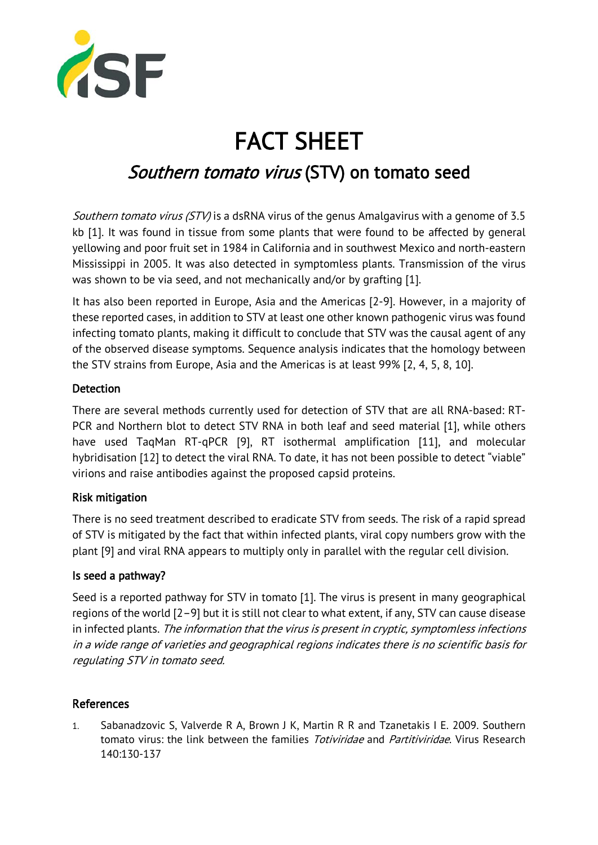

# FACT SHEET

## Southern tomato virus (STV) on tomato seed

Southern tomato virus (STV) is a dsRNA virus of the genus Amalgavirus with a genome of 3.5 kb [1]. It was found in tissue from some plants that were found to be affected by general yellowing and poor fruit set in 1984 in California and in southwest Mexico and north-eastern Mississippi in 2005. It was also detected in symptomless plants. Transmission of the virus was shown to be via seed, and not mechanically and/or by grafting [1].

It has also been reported in Europe, Asia and the Americas [2-9]. However, in a majority of these reported cases, in addition to STV at least one other known pathogenic virus was found infecting tomato plants, making it difficult to conclude that STV was the causal agent of any of the observed disease symptoms. Sequence analysis indicates that the homology between the STV strains from Europe, Asia and the Americas is at least 99% [2, 4, 5, 8, 10].

### Detection

There are several methods currently used for detection of STV that are all RNA-based: RT-PCR and Northern blot to detect STV RNA in both leaf and seed material [1], while others have used TaqMan RT-qPCR [9], RT isothermal amplification [11], and molecular hybridisation [12] to detect the viral RNA. To date, it has not been possible to detect "viable" virions and raise antibodies against the proposed capsid proteins.

### Risk mitigation

There is no seed treatment described to eradicate STV from seeds. The risk of a rapid spread of STV is mitigated by the fact that within infected plants, viral copy numbers grow with the plant [9] and viral RNA appears to multiply only in parallel with the regular cell division.

### Is seed a pathway?

Seed is a reported pathway for STV in tomato [1]. The virus is present in many geographical regions of the world [2–9] but it is still not clear to what extent, if any, STV can cause disease in infected plants. The information that the virus is present in cryptic, symptomless infections in a wide range of varieties and geographical regions indicates there is no scientific basis for regulating STV in tomato seed.

### References

1. Sabanadzovic S, Valverde R A, Brown J K, Martin R R and Tzanetakis I E. 2009. Southern tomato virus: the link between the families *Totiviridae* and *Partitiviridae*. Virus Research 140:130-137